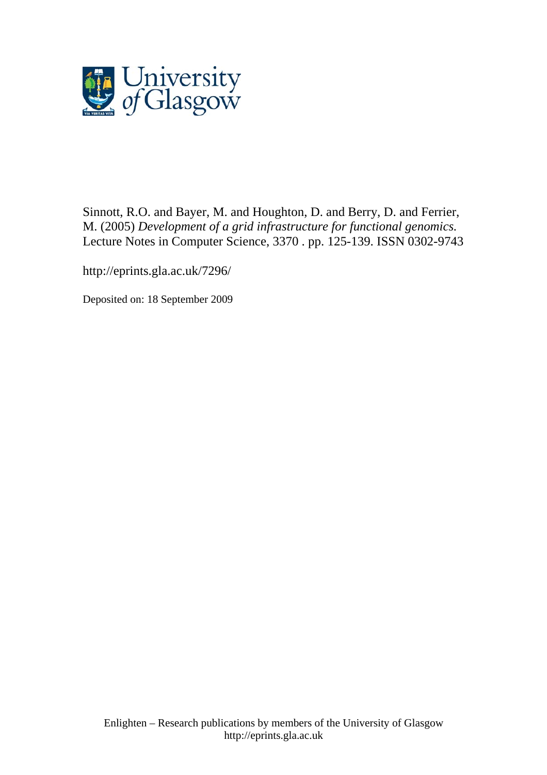

Sinnott, R.O. and Bayer, M. and Houghton, D. and Berry, D. and Ferrier, M. (2005) *Development of a grid infrastructure for functional genomics.* Lecture Notes in Computer Science, 3370 . pp. 125-139. ISSN 0302-9743

http://eprints.gla.ac.uk/7296/

Deposited on: 18 September 2009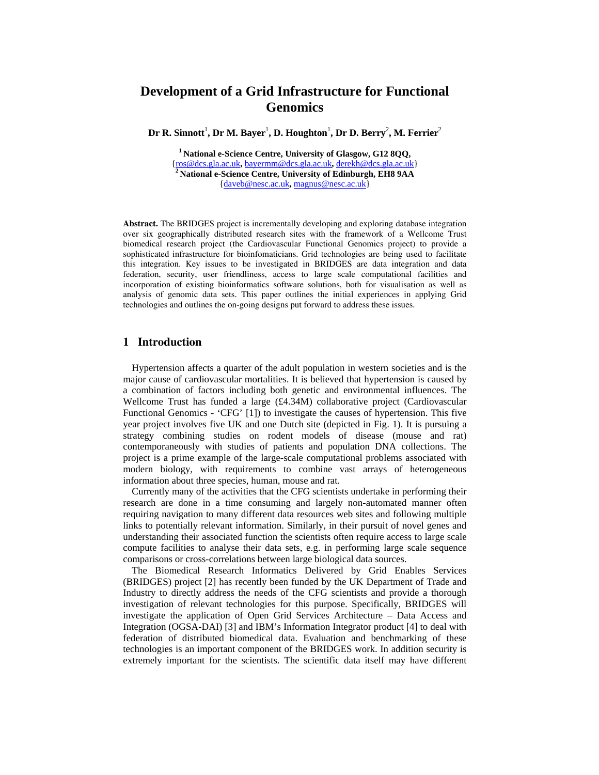# **Development of a Grid Infrastructure for Functional Genomics**

 $\mathbf{D}\mathbf{r}$  **R.** Sinnott $^1$ ,  $\mathbf{D}\mathbf{r}$   $\mathbf{M}$ . Bayer $^1$ ,  $\mathbf{D}$ . Houghton $^1$ ,  $\mathbf{D}\mathbf{r}$   $\mathbf{D}$ . Berry $^2$ ,  $\mathbf{M}$ . Ferrier $^2$ 

**1 National e-Science Centre, University of Glasgow, G12 8QQ,**  {[ros@dcs.gla.ac.uk](mailto:ros@dcs.gla.ac.uk)**,** [bayermm@dcs.gla.ac.uk](mailto:bayermm@dcs.gla.ac.uk)**,** [derekh@dcs.gla.ac.uk](mailto:derekh@dcs.gla.ac.uk)} **2 National e-Science Centre, University of Edinburgh, EH8 9AA**  {[daveb@nesc.ac.uk](mailto:daveb@nesc.ac.uk)**,** [magnus@nesc.ac.uk](mailto:magnus@nesc.ac.uk)}

**Abstract.** The BRIDGES project is incrementally developing and exploring database integration over six geographically distributed research sites with the framework of a Wellcome Trust biomedical research project (the Cardiovascular Functional Genomics project) to provide a sophisticated infrastructure for bioinfomaticians. Grid technologies are being used to facilitate this integration. Key issues to be investigated in BRIDGES are data integration and data federation, security, user friendliness, access to large scale computational facilities and incorporation of existing bioinformatics software solutions, both for visualisation as well as analysis of genomic data sets. This paper outlines the initial experiences in applying Grid technologies and outlines the on-going designs put forward to address these issues.

# **1 Introduction**

Hypertension affects a quarter of the adult population in western societies and is the major cause of cardiovascular mortalities. It is believed that hypertension is caused by a combination of factors including both genetic and environmental influences. The Wellcome Trust has funded a large (£4.34M) collaborative project (Cardiovascular Functional Genomics - 'CFG' [1]) to investigate the causes of hypertension. This five year project involves five UK and one Dutch site (depicted in Fig. 1). It is pursuing a strategy combining studies on rodent models of disease (mouse and rat) contemporaneously with studies of patients and population DNA collections. The project is a prime example of the large-scale computational problems associated with modern biology, with requirements to combine vast arrays of heterogeneous information about three species, human, mouse and rat.

Currently many of the activities that the CFG scientists undertake in performing their research are done in a time consuming and largely non-automated manner often requiring navigation to many different data resources web sites and following multiple links to potentially relevant information. Similarly, in their pursuit of novel genes and understanding their associated function the scientists often require access to large scale compute facilities to analyse their data sets, e.g. in performing large scale sequence comparisons or cross-correlations between large biological data sources.

The Biomedical Research Informatics Delivered by Grid Enables Services (BRIDGES) project [2] has recently been funded by the UK Department of Trade and Industry to directly address the needs of the CFG scientists and provide a thorough investigation of relevant technologies for this purpose. Specifically, BRIDGES will investigate the application of Open Grid Services Architecture – Data Access and Integration (OGSA-DAI) [3] and IBM's Information Integrator product [4] to deal with federation of distributed biomedical data. Evaluation and benchmarking of these technologies is an important component of the BRIDGES work. In addition security is extremely important for the scientists. The scientific data itself may have different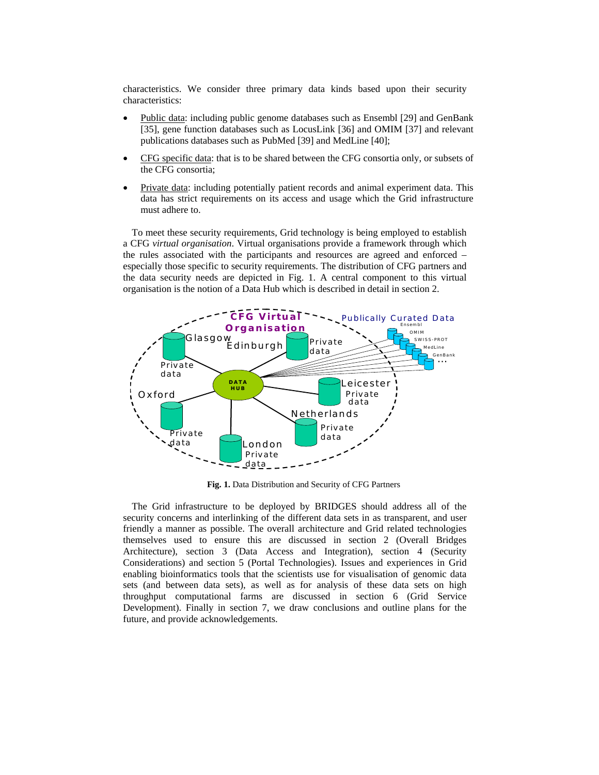characteristics. We consider three primary data kinds based upon their security characteristics:

- Public data: including public genome databases such as Ensembl [29] and GenBank [35], gene function databases such as LocusLink [36] and OMIM [37] and relevant publications databases such as PubMed [39] and MedLine [40];
- CFG specific data: that is to be shared between the CFG consortia only, or subsets of the CFG consortia;
- Private data: including potentially patient records and animal experiment data. This data has strict requirements on its access and usage which the Grid infrastructure must adhere to.

To meet these security requirements, Grid technology is being employed to establish a CFG *virtual organisation*. Virtual organisations provide a framework through which the rules associated with the participants and resources are agreed and enforced – especially those specific to security requirements. The distribution of CFG partners and the data security needs are depicted in Fig. 1. A central component to this virtual organisation is the notion of a Data Hub which is described in detail in section 2.



**Fig. 1.** Data Distribution and Security of CFG Partners

The Grid infrastructure to be deployed by BRIDGES should address all of the security concerns and interlinking of the different data sets in as transparent, and user friendly a manner as possible. The overall architecture and Grid related technologies themselves used to ensure this are discussed in section 2 (Overall Bridges Architecture), section 3 (Data Access and Integration), section 4 (Security Considerations) and section 5 (Portal Technologies). Issues and experiences in Grid enabling bioinformatics tools that the scientists use for visualisation of genomic data sets (and between data sets), as well as for analysis of these data sets on high throughput computational farms are discussed in section 6 (Grid Service Development). Finally in section 7, we draw conclusions and outline plans for the future, and provide acknowledgements.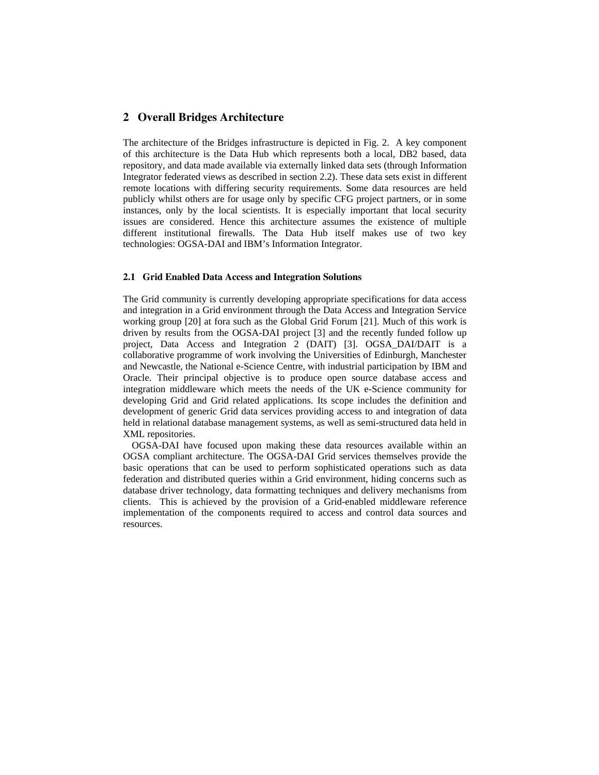## **2 Overall Bridges Architecture**

The architecture of the Bridges infrastructure is depicted in Fig. 2. A key component of this architecture is the Data Hub which represents both a local, DB2 based, data repository, and data made available via externally linked data sets (through Information Integrator federated views as described in section 2.2). These data sets exist in different remote locations with differing security requirements. Some data resources are held publicly whilst others are for usage only by specific CFG project partners, or in some instances, only by the local scientists. It is especially important that local security issues are considered. Hence this architecture assumes the existence of multiple different institutional firewalls. The Data Hub itself makes use of two key technologies: OGSA-DAI and IBM's Information Integrator.

#### **2.1 Grid Enabled Data Access and Integration Solutions**

The Grid community is currently developing appropriate specifications for data access and integration in a Grid environment through the Data Access and Integration Service working group [20] at fora such as the Global Grid Forum [21]. Much of this work is driven by results from the OGSA-DAI project [3] and the recently funded follow up project, Data Access and Integration 2 (DAIT) [3]. OGSA\_DAI/DAIT is a collaborative programme of work involving the Universities of Edinburgh, Manchester and Newcastle, the National e-Science Centre, with industrial participation by IBM and Oracle. Their principal objective is to produce open source database access and integration middleware which meets the needs of the UK e-Science community for developing Grid and Grid related applications. Its scope includes the definition and development of generic Grid data services providing access to and integration of data held in relational database management systems, as well as semi-structured data held in XML repositories.

OGSA-DAI have focused upon making these data resources available within an OGSA compliant architecture. The OGSA-DAI Grid services themselves provide the basic operations that can be used to perform sophisticated operations such as data federation and distributed queries within a Grid environment, hiding concerns such as database driver technology, data formatting techniques and delivery mechanisms from clients. This is achieved by the provision of a Grid-enabled middleware reference implementation of the components required to access and control data sources and resources.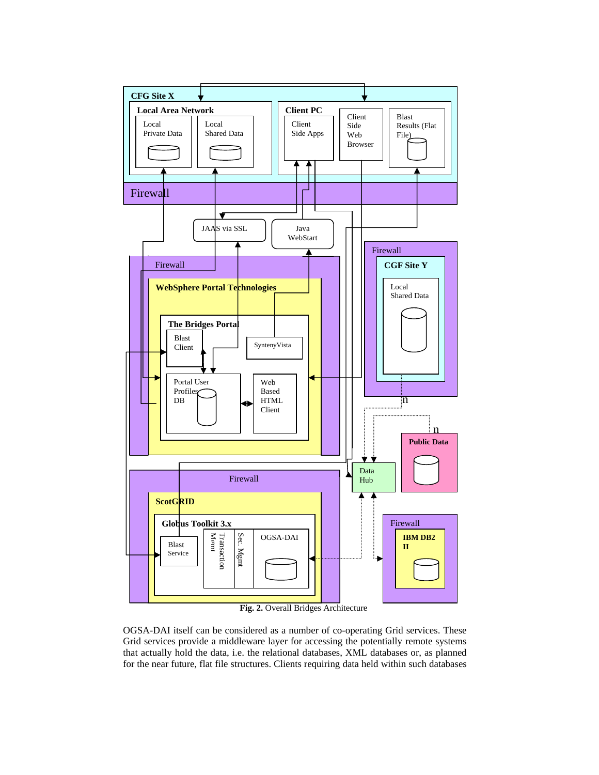

**Fig. 2.** Overall Bridges Architecture

OGSA-DAI itself can be considered as a number of co-operating Grid services. These Grid services provide a middleware layer for accessing the potentially remote systems that actually hold the data, i.e. the relational databases, XML databases or, as planned for the near future, flat file structures. Clients requiring data held within such databases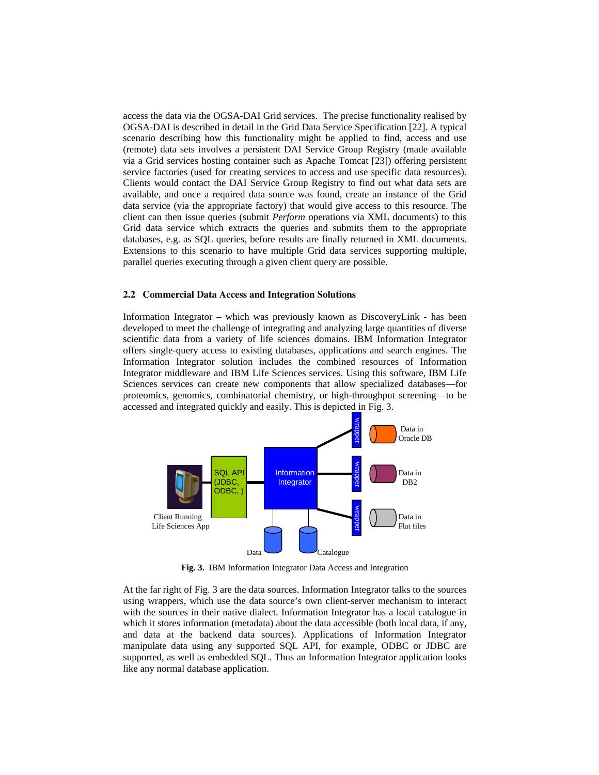access the data via the OGSA-DAI Grid services. The precise functionality realised by OGSA-DAI is described in detail in the Grid Data Service Specification [22]. A typical scenario describing how this functionality might be applied to find, access and use (remote) data sets involves a persistent DAI Service Group Registry (made available via a Grid services hosting container such as Apache Tomcat [23]) offering persistent service factories (used for creating services to access and use specific data resources). Clients would contact the DAI Service Group Registry to find out what data sets are available, and once a required data source was found, create an instance of the Grid data service (via the appropriate factory) that would give access to this resource. The client can then issue queries (submit *Perform* operations via XML documents) to this Grid data service which extracts the queries and submits them to the appropriate databases, e.g. as SQL queries, before results are finally returned in XML documents. Extensions to this scenario to have multiple Grid data services supporting multiple, parallel queries executing through a given client query are possible.

# **2.2 Commercial Data Access and Integration Solutions**

Information Integrator – which was previously known as DiscoveryLink - has been developed to meet the challenge of integrating and analyzing large quantities of diverse scientific data from a variety of life sciences domains. IBM Information Integrator offers single-query access to existing databases, applications and search engines. The Information Integrator solution includes the combined resources of Information Integrator middleware and IBM Life Sciences services. Using this software, IBM Life Sciences services can create new components that allow specialized databases—for proteomics, genomics, combinatorial chemistry, or high-throughput screening—to be accessed and integrated quickly and easily. This is depicted in Fig. 3.



**Fig. 3.** IBM Information Integrator Data Access and Integration

At the far right of Fig. 3 are the data sources. Information Integrator talks to the sources using wrappers, which use the data source's own client-server mechanism to interact with the sources in their native dialect. Information Integrator has a local catalogue in which it stores information (metadata) about the data accessible (both local data, if any, and data at the backend data sources). Applications of Information Integrator manipulate data using any supported SQL API, for example, ODBC or JDBC are supported, as well as embedded SQL. Thus an Information Integrator application looks like any normal database application.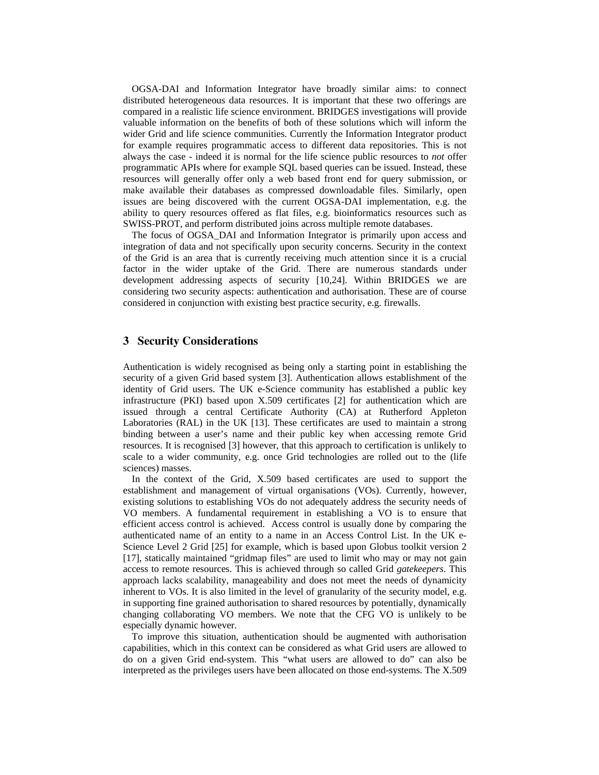OGSA-DAI and Information Integrator have broadly similar aims: to connect distributed heterogeneous data resources. It is important that these two offerings are compared in a realistic life science environment. BRIDGES investigations will provide valuable information on the benefits of both of these solutions which will inform the wider Grid and life science communities. Currently the Information Integrator product for example requires programmatic access to different data repositories. This is not always the case - indeed it is normal for the life science public resources to *not* offer programmatic APIs where for example SQL based queries can be issued. Instead, these resources will generally offer only a web based front end for query submission, or make available their databases as compressed downloadable files. Similarly, open issues are being discovered with the current OGSA-DAI implementation, e.g. the ability to query resources offered as flat files, e.g. bioinformatics resources such as SWISS-PROT, and perform distributed joins across multiple remote databases.

The focus of OGSA\_DAI and Information Integrator is primarily upon access and integration of data and not specifically upon security concerns. Security in the context of the Grid is an area that is currently receiving much attention since it is a crucial factor in the wider uptake of the Grid. There are numerous standards under development addressing aspects of security [10,24]. Within BRIDGES we are considering two security aspects: authentication and authorisation. These are of course considered in conjunction with existing best practice security, e.g. firewalls.

## **3 Security Considerations**

Authentication is widely recognised as being only a starting point in establishing the security of a given Grid based system [3]. Authentication allows establishment of the identity of Grid users. The UK e-Science community has established a public key infrastructure (PKI) based upon X.509 certificates [2] for authentication which are issued through a central Certificate Authority (CA) at Rutherford Appleton Laboratories (RAL) in the UK [13]. These certificates are used to maintain a strong binding between a user's name and their public key when accessing remote Grid resources. It is recognised [3] however, that this approach to certification is unlikely to scale to a wider community, e.g. once Grid technologies are rolled out to the (life sciences) masses.

In the context of the Grid, X.509 based certificates are used to support the establishment and management of virtual organisations (VOs). Currently, however, existing solutions to establishing VOs do not adequately address the security needs of VO members. A fundamental requirement in establishing a VO is to ensure that efficient access control is achieved. Access control is usually done by comparing the authenticated name of an entity to a name in an Access Control List. In the UK e-Science Level 2 Grid [25] for example, which is based upon Globus toolkit version 2 [17], statically maintained "gridmap files" are used to limit who may or may not gain access to remote resources. This is achieved through so called Grid *gatekeepers*. This approach lacks scalability, manageability and does not meet the needs of dynamicity inherent to VOs. It is also limited in the level of granularity of the security model, e.g. in supporting fine grained authorisation to shared resources by potentially, dynamically changing collaborating VO members. We note that the CFG VO is unlikely to be especially dynamic however.

To improve this situation, authentication should be augmented with authorisation capabilities, which in this context can be considered as what Grid users are allowed to do on a given Grid end-system. This "what users are allowed to do" can also be interpreted as the privileges users have been allocated on those end-systems. The X.509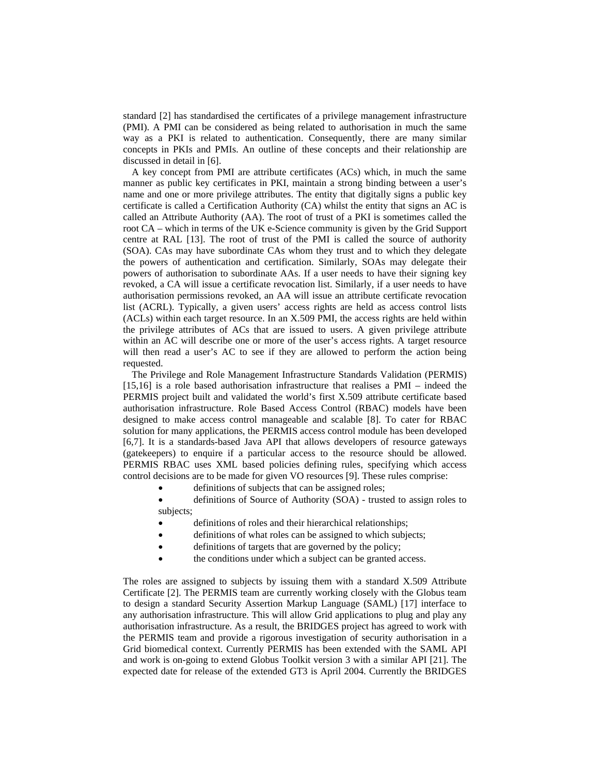standard [2] has standardised the certificates of a privilege management infrastructure (PMI). A PMI can be considered as being related to authorisation in much the same way as a PKI is related to authentication. Consequently, there are many similar concepts in PKIs and PMIs. An outline of these concepts and their relationship are discussed in detail in [6].

A key concept from PMI are attribute certificates (ACs) which, in much the same manner as public key certificates in PKI, maintain a strong binding between a user's name and one or more privilege attributes. The entity that digitally signs a public key certificate is called a Certification Authority (CA) whilst the entity that signs an AC is called an Attribute Authority (AA). The root of trust of a PKI is sometimes called the root CA – which in terms of the UK e-Science community is given by the Grid Support centre at RAL [13]. The root of trust of the PMI is called the source of authority (SOA). CAs may have subordinate CAs whom they trust and to which they delegate the powers of authentication and certification. Similarly, SOAs may delegate their powers of authorisation to subordinate AAs. If a user needs to have their signing key revoked, a CA will issue a certificate revocation list. Similarly, if a user needs to have authorisation permissions revoked, an AA will issue an attribute certificate revocation list (ACRL). Typically, a given users' access rights are held as access control lists (ACLs) within each target resource. In an X.509 PMI, the access rights are held within the privilege attributes of ACs that are issued to users. A given privilege attribute within an AC will describe one or more of the user's access rights. A target resource will then read a user's AC to see if they are allowed to perform the action being requested.

The Privilege and Role Management Infrastructure Standards Validation (PERMIS) [15,16] is a role based authorisation infrastructure that realises a PMI – indeed the PERMIS project built and validated the world's first X.509 attribute certificate based authorisation infrastructure. Role Based Access Control (RBAC) models have been designed to make access control manageable and scalable [8]. To cater for RBAC solution for many applications, the PERMIS access control module has been developed [6,7]. It is a standards-based Java API that allows developers of resource gateways (gatekeepers) to enquire if a particular access to the resource should be allowed. PERMIS RBAC uses XML based policies defining rules, specifying which access control decisions are to be made for given VO resources [9]. These rules comprise:

definitions of subjects that can be assigned roles;

• definitions of Source of Authority (SOA) - trusted to assign roles to subjects;

- definitions of roles and their hierarchical relationships;
- definitions of what roles can be assigned to which subjects;
- definitions of targets that are governed by the policy;
- the conditions under which a subject can be granted access.

The roles are assigned to subjects by issuing them with a standard X.509 Attribute Certificate [2]. The PERMIS team are currently working closely with the Globus team to design a standard Security Assertion Markup Language (SAML) [17] interface to any authorisation infrastructure. This will allow Grid applications to plug and play any authorisation infrastructure. As a result, the BRIDGES project has agreed to work with the PERMIS team and provide a rigorous investigation of security authorisation in a Grid biomedical context. Currently PERMIS has been extended with the SAML API and work is on-going to extend Globus Toolkit version 3 with a similar API [21]. The expected date for release of the extended GT3 is April 2004. Currently the BRIDGES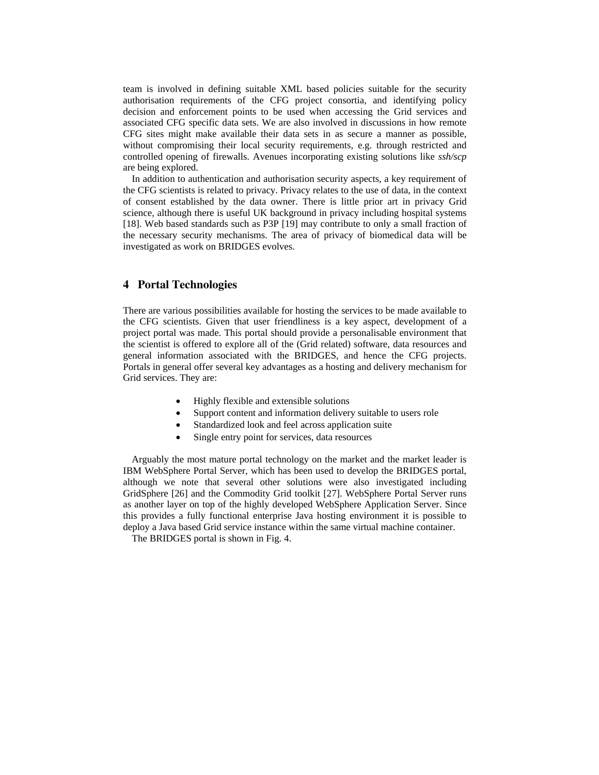team is involved in defining suitable XML based policies suitable for the security authorisation requirements of the CFG project consortia, and identifying policy decision and enforcement points to be used when accessing the Grid services and associated CFG specific data sets. We are also involved in discussions in how remote CFG sites might make available their data sets in as secure a manner as possible, without compromising their local security requirements, e.g. through restricted and controlled opening of firewalls. Avenues incorporating existing solutions like *ssh/scp* are being explored.

In addition to authentication and authorisation security aspects, a key requirement of the CFG scientists is related to privacy. Privacy relates to the use of data, in the context of consent established by the data owner. There is little prior art in privacy Grid science, although there is useful UK background in privacy including hospital systems [18]. Web based standards such as P3P [19] may contribute to only a small fraction of the necessary security mechanisms. The area of privacy of biomedical data will be investigated as work on BRIDGES evolves.

# **4 Portal Technologies**

There are various possibilities available for hosting the services to be made available to the CFG scientists. Given that user friendliness is a key aspect, development of a project portal was made. This portal should provide a personalisable environment that the scientist is offered to explore all of the (Grid related) software, data resources and general information associated with the BRIDGES, and hence the CFG projects. Portals in general offer several key advantages as a hosting and delivery mechanism for Grid services. They are:

- Highly flexible and extensible solutions
- Support content and information delivery suitable to users role
- Standardized look and feel across application suite
- Single entry point for services, data resources

Arguably the most mature portal technology on the market and the market leader is IBM WebSphere Portal Server, which has been used to develop the BRIDGES portal, although we note that several other solutions were also investigated including GridSphere [26] and the Commodity Grid toolkit [27]. WebSphere Portal Server runs as another layer on top of the highly developed WebSphere Application Server. Since this provides a fully functional enterprise Java hosting environment it is possible to deploy a Java based Grid service instance within the same virtual machine container.

The BRIDGES portal is shown in Fig. 4.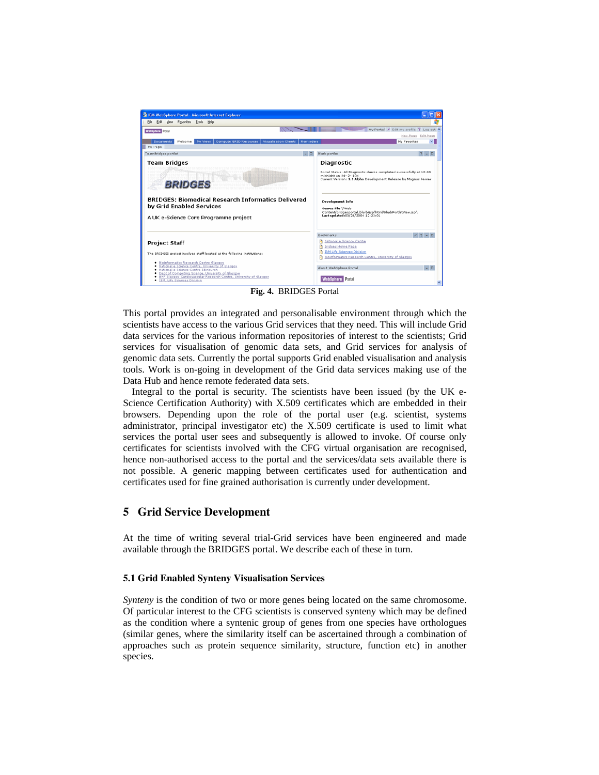

**Fig. 4.** BRIDGES Portal

This portal provides an integrated and personalisable environment through which the scientists have access to the various Grid services that they need. This will include Grid data services for the various information repositories of interest to the scientists; Grid services for visualisation of genomic data sets, and Grid services for analysis of genomic data sets. Currently the portal supports Grid enabled visualisation and analysis tools. Work is on-going in development of the Grid data services making use of the Data Hub and hence remote federated data sets.

Integral to the portal is security. The scientists have been issued (by the UK e-Science Certification Authority) with X.509 certificates which are embedded in their browsers. Depending upon the role of the portal user (e.g. scientist, systems administrator, principal investigator etc) the X.509 certificate is used to limit what services the portal user sees and subsequently is allowed to invoke. Of course only certificates for scientists involved with the CFG virtual organisation are recognised, hence non-authorised access to the portal and the services/data sets available there is not possible. A generic mapping between certificates used for authentication and certificates used for fine grained authorisation is currently under development.

# **5 Grid Service Development**

At the time of writing several trial-Grid services have been engineered and made available through the BRIDGES portal. We describe each of these in turn.

#### **5.1 Grid Enabled Synteny Visualisation Services**

*Synteny* is the condition of two or more genes being located on the same chromosome. Of particular interest to the CFG scientists is conserved synteny which may be defined as the condition where a syntenic group of genes from one species have orthologues (similar genes, where the similarity itself can be ascertained through a combination of approaches such as protein sequence similarity, structure, function etc) in another species.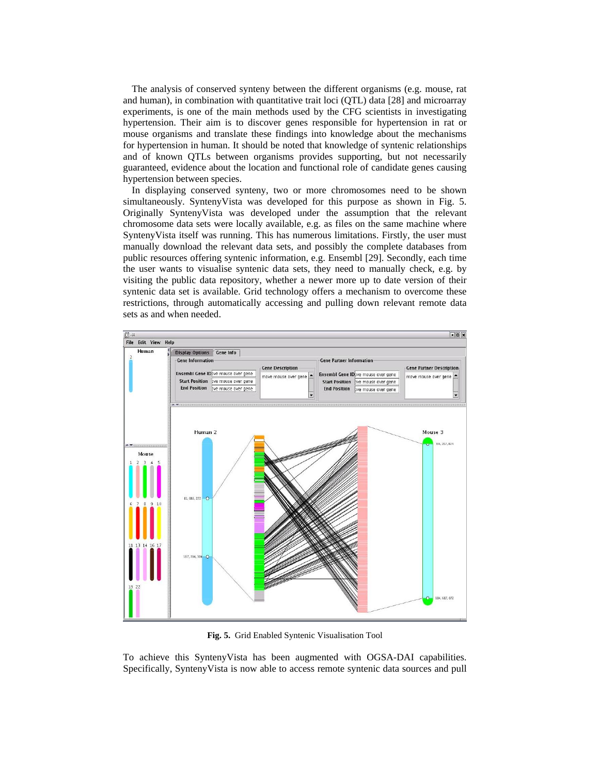The analysis of conserved synteny between the different organisms (e.g. mouse, rat and human), in combination with quantitative trait loci (QTL) data [28] and microarray experiments, is one of the main methods used by the CFG scientists in investigating hypertension. Their aim is to discover genes responsible for hypertension in rat or mouse organisms and translate these findings into knowledge about the mechanisms for hypertension in human. It should be noted that knowledge of syntenic relationships and of known QTLs between organisms provides supporting, but not necessarily guaranteed, evidence about the location and functional role of candidate genes causing hypertension between species.

In displaying conserved synteny, two or more chromosomes need to be shown simultaneously. SyntenyVista was developed for this purpose as shown in Fig. 5. Originally SyntenyVista was developed under the assumption that the relevant chromosome data sets were locally available, e.g. as files on the same machine where SyntenyVista itself was running. This has numerous limitations. Firstly, the user must manually download the relevant data sets, and possibly the complete databases from public resources offering syntenic information, e.g. Ensembl [29]. Secondly, each time the user wants to visualise syntenic data sets, they need to manually check, e.g. by visiting the public data repository, whether a newer more up to date version of their syntenic data set is available. Grid technology offers a mechanism to overcome these restrictions, through automatically accessing and pulling down relevant remote data sets as and when needed.



**Fig. 5.** Grid Enabled Syntenic Visualisation Tool

To achieve this SyntenyVista has been augmented with OGSA-DAI capabilities. Specifically, SyntenyVista is now able to access remote syntenic data sources and pull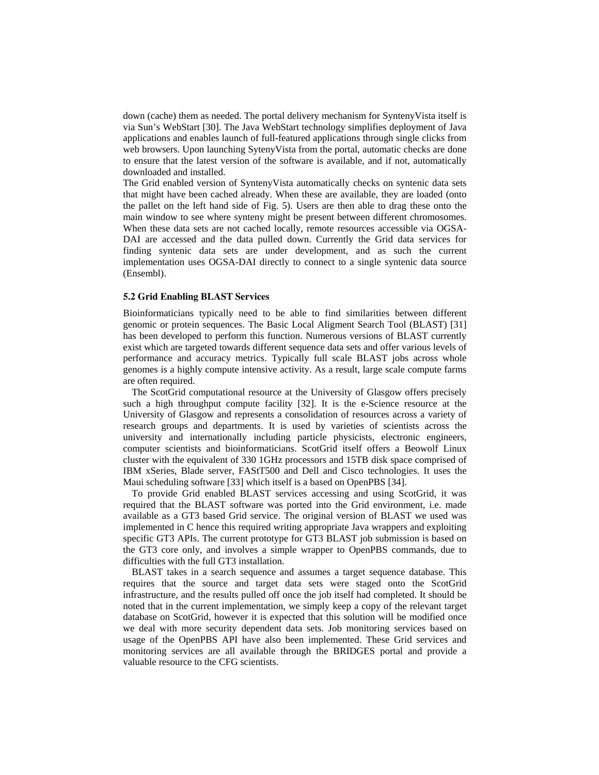down (cache) them as needed. The portal delivery mechanism for SyntenyVista itself is via Sun's WebStart [30]. The Java WebStart technology simplifies deployment of Java applications and enables launch of full-featured applications through single clicks from web browsers. Upon launching SytenyVista from the portal, automatic checks are done to ensure that the latest version of the software is available, and if not, automatically downloaded and installed.

The Grid enabled version of SyntenyVista automatically checks on syntenic data sets that might have been cached already. When these are available, they are loaded (onto the pallet on the left hand side of Fig. 5). Users are then able to drag these onto the main window to see where synteny might be present between different chromosomes. When these data sets are not cached locally, remote resources accessible via OGSA-DAI are accessed and the data pulled down. Currently the Grid data services for finding syntenic data sets are under development, and as such the current implementation uses OGSA-DAI directly to connect to a single syntenic data source (Ensembl).

## **5.2 Grid Enabling BLAST Services**

Bioinformaticians typically need to be able to find similarities between different genomic or protein sequences. The Basic Local Aligment Search Tool (BLAST) [31] has been developed to perform this function. Numerous versions of BLAST currently exist which are targeted towards different sequence data sets and offer various levels of performance and accuracy metrics. Typically full scale BLAST jobs across whole genomes is a highly compute intensive activity. As a result, large scale compute farms are often required.

The ScotGrid computational resource at the University of Glasgow offers precisely such a high throughput compute facility [32]. It is the e-Science resource at the University of Glasgow and represents a consolidation of resources across a variety of research groups and departments. It is used by varieties of scientists across the university and internationally including particle physicists, electronic engineers, computer scientists and bioinformaticians. ScotGrid itself offers a Beowolf Linux cluster with the equivalent of 330 1GHz processors and 15TB disk space comprised of IBM xSeries, Blade server, FAStT500 and Dell and Cisco technologies. It uses the Maui scheduling software [33] which itself is a based on OpenPBS [34].

To provide Grid enabled BLAST services accessing and using ScotGrid, it was required that the BLAST software was ported into the Grid environment, i.e. made available as a GT3 based Grid service. The original version of BLAST we used was implemented in C hence this required writing appropriate Java wrappers and exploiting specific GT3 APIs. The current prototype for GT3 BLAST job submission is based on the GT3 core only, and involves a simple wrapper to OpenPBS commands, due to difficulties with the full GT3 installation.

BLAST takes in a search sequence and assumes a target sequence database. This requires that the source and target data sets were staged onto the ScotGrid infrastructure, and the results pulled off once the job itself had completed. It should be noted that in the current implementation, we simply keep a copy of the relevant target database on ScotGrid, however it is expected that this solution will be modified once we deal with more security dependent data sets. Job monitoring services based on usage of the OpenPBS API have also been implemented. These Grid services and monitoring services are all available through the BRIDGES portal and provide a valuable resource to the CFG scientists.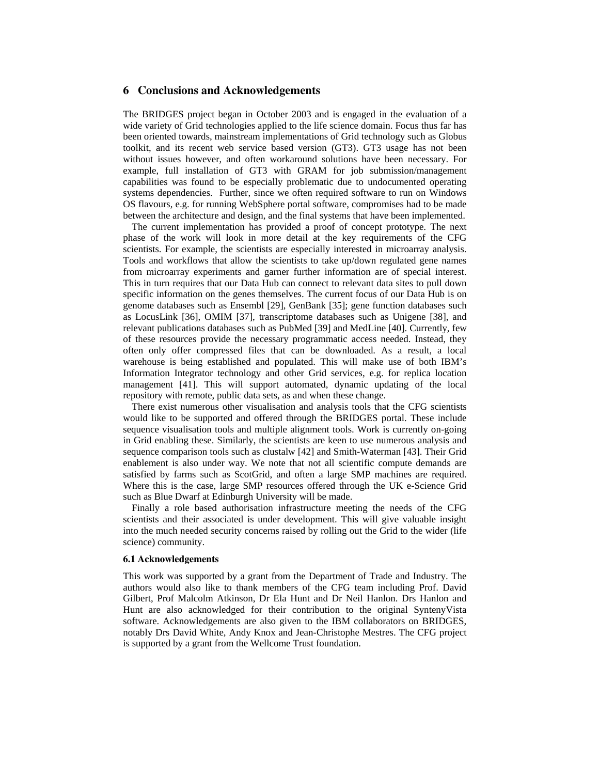#### **6 Conclusions and Acknowledgements**

The BRIDGES project began in October 2003 and is engaged in the evaluation of a wide variety of Grid technologies applied to the life science domain. Focus thus far has been oriented towards, mainstream implementations of Grid technology such as Globus toolkit, and its recent web service based version (GT3). GT3 usage has not been without issues however, and often workaround solutions have been necessary. For example, full installation of GT3 with GRAM for job submission/management capabilities was found to be especially problematic due to undocumented operating systems dependencies. Further, since we often required software to run on Windows OS flavours, e.g. for running WebSphere portal software, compromises had to be made between the architecture and design, and the final systems that have been implemented.

The current implementation has provided a proof of concept prototype. The next phase of the work will look in more detail at the key requirements of the CFG scientists. For example, the scientists are especially interested in microarray analysis. Tools and workflows that allow the scientists to take up/down regulated gene names from microarray experiments and garner further information are of special interest. This in turn requires that our Data Hub can connect to relevant data sites to pull down specific information on the genes themselves. The current focus of our Data Hub is on genome databases such as Ensembl [29], GenBank [35]; gene function databases such as LocusLink [36], OMIM [37], transcriptome databases such as Unigene [38], and relevant publications databases such as PubMed [39] and MedLine [40]. Currently, few of these resources provide the necessary programmatic access needed. Instead, they often only offer compressed files that can be downloaded. As a result, a local warehouse is being established and populated. This will make use of both IBM's Information Integrator technology and other Grid services, e.g. for replica location management [41]. This will support automated, dynamic updating of the local repository with remote, public data sets, as and when these change.

There exist numerous other visualisation and analysis tools that the CFG scientists would like to be supported and offered through the BRIDGES portal. These include sequence visualisation tools and multiple alignment tools. Work is currently on-going in Grid enabling these. Similarly, the scientists are keen to use numerous analysis and sequence comparison tools such as clustalw [42] and Smith-Waterman [43]. Their Grid enablement is also under way. We note that not all scientific compute demands are satisfied by farms such as ScotGrid, and often a large SMP machines are required. Where this is the case, large SMP resources offered through the UK e-Science Grid such as Blue Dwarf at Edinburgh University will be made.

Finally a role based authorisation infrastructure meeting the needs of the CFG scientists and their associated is under development. This will give valuable insight into the much needed security concerns raised by rolling out the Grid to the wider (life science) community.

#### **6.1 Acknowledgements**

This work was supported by a grant from the Department of Trade and Industry. The authors would also like to thank members of the CFG team including Prof. David Gilbert, Prof Malcolm Atkinson, Dr Ela Hunt and Dr Neil Hanlon. Drs Hanlon and Hunt are also acknowledged for their contribution to the original SyntenyVista software. Acknowledgements are also given to the IBM collaborators on BRIDGES, notably Drs David White, Andy Knox and Jean-Christophe Mestres. The CFG project is supported by a grant from the Wellcome Trust foundation.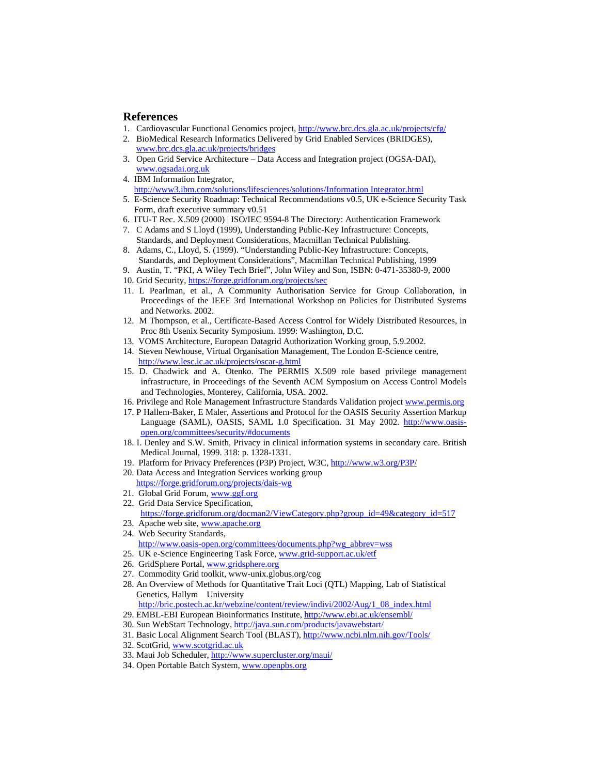## **References**

- 1. Cardiovascular Functional Genomics project,<http://www.brc.dcs.gla.ac.uk/projects/cfg/>
- 2. BioMedical Research Informatics Delivered by Grid Enabled Services (BRIDGES), [www.brc.dcs.gla.ac.uk/projects/bridges](http://www.brc.dcs.gla.ac.uk/projects/bridges)
- 3. Open Grid Service Architecture Data Access and Integration project (OGSA-DAI), [www.ogsadai.org.uk](http://www.ogsadai.org.uk/)
- 4. IBM Information Integrator, [http://www3.ibm.com/solutions/lifesciences/solutions/Information Integrator.html](http://www3.ibm.com/solutions/lifesciences/solutions/discoverylink.html)
- 5. E-Science Security Roadmap: Technical Recommendations v0.5, UK e-Science Security Task Form, draft executive summary v0.51
- 6. ITU-T Rec. X.509 (2000) | ISO/IEC 9594-8 The Directory: Authentication Framework
- 7. C Adams and S Lloyd (1999), Understanding Public-Key Infrastructure: Concepts, Standards, and Deployment Considerations, Macmillan Technical Publishing.
- 8. Adams, C., Lloyd, S. (1999). "Understanding Public-Key Infrastructure: Concepts, Standards, and Deployment Considerations", Macmillan Technical Publishing, 1999
- 9. Austin, T. "PKI, A Wiley Tech Brief", John Wiley and Son, ISBN: 0-471-35380-9, 2000
- 10. Grid Security, <https://forge.gridforum.org/projects/sec>
- 11. L Pearlman, et al., A Community Authorisation Service for Group Collaboration, in Proceedings of the IEEE 3rd International Workshop on Policies for Distributed Systems and Networks. 2002.
- 12. M Thompson, et al., Certificate-Based Access Control for Widely Distributed Resources, in Proc 8th Usenix Security Symposium. 1999: Washington, D.C.
- 13. VOMS Architecture, European Datagrid Authorization Working group, 5.9.2002.
- 14. Steven Newhouse, Virtual Organisation Management, The London E-Science centre, <http://www.lesc.ic.ac.uk/projects/oscar-g.html>
- 15. D. Chadwick and A. Otenko. The PERMIS X.509 role based privilege management infrastructure, in Proceedings of the Seventh ACM Symposium on Access Control Models and Technologies, Monterey, California, USA. 2002.
- 16. Privilege and Role Management Infrastructure Standards Validation project [www.permis.org](http://www.permis.org/)
- 17. P Hallem-Baker, E Maler, Assertions and Protocol for the OASIS Security Assertion Markup Language (SAML), OASIS, SAML 1.0 Specification. 31 May 2002. http://www.oasisopen.org/committees/security/#documents
- 18. I. Denley and S.W. Smith, Privacy in clinical information systems in secondary care. British Medical Journal, 1999. 318: p. 1328-1331.
- 19. Platform for Privacy Preferences (P3P) Project, W3C,<http://www.w3.org/P3P/>
- 20. Data Access and Integration Services working group <https://forge.gridforum.org/projects/dais-wg>
- 21. Global Grid Forum, [www.ggf.org](http://www.ggf.org/)
- 22. Grid Data Service Specification,
- https://forge.gridforum.org/docman2/ViewCategory.php?group\_id=49&category\_id=517
- 23. Apache web site, [www.apache.org](http://www.apache.org/)
- 24. Web Security Standards, [http://www.oasis-open.org/committees/documents.php?wg\\_abbrev=wss](http://www.oasis-open.org/committees/documents.php?wg_abbrev=wss)
- 25. UK e-Science Engineering Task Force, www.grid-support.ac.uk/etf
- 26. GridSphere Portal, [www.gridsphere.org](http://www.gridsphere.org/)
- 27. Commodity Grid toolkit, www-unix.globus.org/cog
- 28. An Overview of Methods for Quantitative Trait Loci (QTL) Mapping, Lab of Statistical Genetics, Hallym University

[http://bric.postech.ac.kr/webzine/content/review/indivi/2002/Aug/1\\_08\\_index.html](http://bric.postech.ac.kr/webzine/content/review/indivi/2002/Aug/1_08_index.html)

- 29. EMBL-EBI European Bioinformatics Institute, http://www.ebi.ac.uk/ensembl/
- 30. Sun WebStart Technology,<http://java.sun.com/products/javawebstart/>
- 31. Basic Local Alignment Search Tool (BLAST),<http://www.ncbi.nlm.nih.gov/Tools/>
- 32. ScotGrid, [www.scotgrid.ac.uk](http://www.scotgrid.ac.uk/)
- 33. Maui Job Scheduler,<http://www.supercluster.org/maui/>
- 34. Open Portable Batch System, [www.openpbs.org](http://www.openpbs.org/)